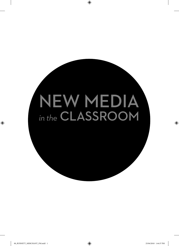

 $\bigoplus$ 

 $\bigoplus$ 

 $\bigoplus$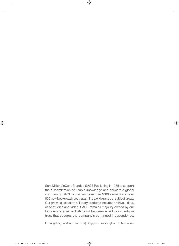Sara Miller McCune founded SAGE Publishing in 1965 to support the dissemination of usable knowledge and educate a global community. SAGE publishes more than 1000 journals and over 800 new books each year, spanning a wide range of subject areas. Our growing selection of library products includes archives, data, case studies and video. SAGE remains majority owned by our founder and after her lifetime will become owned by a charitable trust that secures the company's continued independence.

 $\bigoplus$ 

Los Angeles | London | New Delhi | Singapore | Washington DC | Melbourne

 $\bigoplus$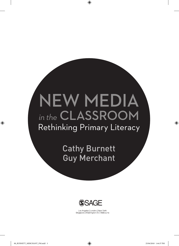## NEW MEDIA *in the* CLASSROOM Rethinking Primary Literacy

 $\bigoplus$ 

Cathy Burnett Guy Merchant



Los Angeles | London | New Delhi<br>Singapore | Washington DC | Melbourne

00\_BURNETT\_MERCHANT\_FM.indd 3 25/04/2018 1:44:37 PM

⊕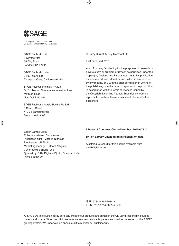

Los Angeles | London | New Delhi Singapore | Washington DC | Melbourne

SAGE Publications Ltd 1 Oliver's Yard 55 City Road London EC1Y 1SP

SAGE Publications Inc. 2455 Teller Road Thousand Oaks, California 91320

SAGE Publications India Pvt Ltd B 1/I 1 Mohan Cooperative Industrial Area Mathura Road New Delhi 110 044

SAGE Publications Asia-Pacific Pte Ltd 3 Church Street #10-04 Samsung Hub Singapore 049483

Editor: James Clark

⊕

Proofreader: Jill Birch

Printed in the UK

Cover design: Sheila Tong

Editorial assistant: Diana Alves Production editor: Victoria Nicholas

Marketing manager: Dilhara Attygalle

Typeset by: C&M Digitals (P) Ltd, Chennai, India

© Cathy Burnett & Guy Merchant 2018

First published 2018

 $\bigoplus$ 

Apart from any fair dealing for the purposes of research or private study, or criticism or review, as permitted under the Copyright, Designs and Patents Act, 1988, this publication may be reproduced, stored or transmitted in any form, or by any means, only with the prior permission in writing of the publishers, or in the case of reprographic reproduction, in accordance with the terms of licences issued by the Copyright Licensing Agency. Enquiries concerning reproduction outside those terms should be sent to the publishers.

#### **Library of Congress Control Number: 2017957930**

#### **British Library Cataloguing in Publication data**

A catalogue record for this book is available from the British Library

ISBN 978-1-5264-2084-8 ISBN 978-1-5264-2085-5 (pbk)

At SAGE we take sustainability seriously. Most of our products are printed in the UK using responsibly sourced papers and boards. When we print overseas we ensure sustainable papers are used as measured by the PREPS grading system. We undertake an annual audit to monitor our sustainability.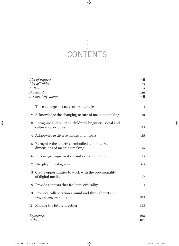# ENTS

 $\bigoplus$ 

| List of Figures  |                                                                                  | vii  |
|------------------|----------------------------------------------------------------------------------|------|
| List of Tables   |                                                                                  | ix   |
| Authors          |                                                                                  | xi   |
| Foreword         |                                                                                  | xiii |
| Acknowledgements |                                                                                  | xvii |
|                  |                                                                                  |      |
|                  | 1 The challenge of 21st century literacies                                       | 1    |
|                  | 2 Acknowledge the changing nature of meaning making                              | 13   |
| 3                | Recognise and build on children's linguistic, social and<br>cultural repertoires | 25   |
|                  | 4 Acknowledge diverse modes and media                                            | 35   |
|                  | 5 Recognise the affective, embodied and material<br>dimensions of meaning making | 45   |
|                  | 6 Encourage improvisation and experimentation                                    | 55   |
|                  | 7 Use playful pedagogies                                                         | 65   |
| 8                | Create opportunities to work with the provisionality<br>of digital media         | 77   |
| 9                | Provide contexts that facilitate criticality                                     | 91   |
|                  | 10 Promote collaboration around and through texts in<br>negotiating meaning      | 105  |
| 11               | Making the future together                                                       | 113  |
| References       |                                                                                  | 125  |
| <i>Index</i>     |                                                                                  | 137  |

 $\overline{\phantom{a}}$ 

 $\bigoplus$ 

 $\bigoplus$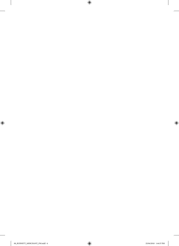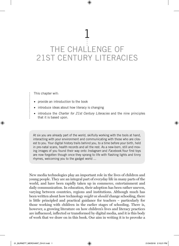## 1 THE CHALLENGE OF 21ST CENTURY LITERACIES

 $\bigoplus$ 

This chapter will:

⊕

- provide an introduction to the book
- introduce ideas about how literacy is changing
- introduce the *Charter for 21st Century Literacies* and the nine principles that it is based upon.

At six you are already part of the world, skilfully working with the tools at hand, interacting with your environment and communicating with those who are closest to you. Your digital history trails behind you, to a time before your birth, held in pre-natal scans, health records and all the rest. As a new-born, still and moving images of you found their way onto *Instagram* and *Facebook*.Your first toys are now forgotten though once they sprang to life with flashing lights and tinny rhymes, welcoming you to the gadget world ...

New media technologies play an important role in the lives of children and young people. They are an integral part of everyday life in many parts of the world, and have been rapidly taken up in commerce, entertainment and daily communication. In education, their adoption has been rather uneven, varying between countries, regions and institutions. Although much has been written about how technology *might* or *should* change schooling, there is little principled and practical guidance for teachers – particularly for those working with children in the earlier stages of schooling. There is, however, a growing literature on how children's lives and literacy practices are influenced, inflected or transformed by digital media, and it is this body of work that we draw on in this book. Our aim in writing it is to provoke a

01\_BURNETT\_MERCHANT\_CH-01.indd 1 21/04/2018 2:10:21 PM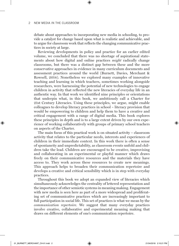debate about approaches to incorporating new media in schooling, to provide a catalyst for change based upon what is realistic and achievable, and to argue for classroom work that reflects the changing communicative practices in society at large.

 $\textcircled{\scriptsize{*}}$ 

Reviewing developments in policy and practice for an earlier edited volume, we concluded that there was no shortage of aspirational statements about how digital and online practices *might* radically change classrooms, but there was a distinct gap between these and the more conservative approaches in evidence in many curriculum documents and assessment practices around the world (Burnett, Davies, Merchant & Rowsell, 2014). Nonetheless we explored many examples of innovative teaching and learning in which teachers, sometimes working alongside researchers, were harnessing the potential of new technologies to engage children in activity that reflected the new literacies of everyday life in an authentic way. In that work we identified nine principles or orientations that underpin what, in this book, we ambitiously call a Charter for 21st Century Literacies. Using these principles, we argue, might enable colleagues to develop literacy practices in school – literacy provision that would be empowering to children and help them to have a creative and critical engagement with a range of digital media. This book explores these principles in depth and is to a large extent driven by our own experience of working collaboratively with groups of primary school teachers on aspects of the Charter.

The main focus of this practical work is on situated activity – classroom activity that relates to the particular needs, interests and experiences of children in their immediate context. In this work there is often a sense of spontaneity and unpredictability, as classroom events unfold and children take the lead. Children are encouraged to be creative, improvising and collaborating in an experimental or playful manner which draws freely on their communicative resources and the materials they have access to. They work across these resources to create new meanings. This approach helps to broaden their communication repertoire and develops a creative and critical sensibility which is in step with everyday practices.

Throughout this book we adopt an expanded view of literacies which simultaneously acknowledges the centrality of lettered representation and the importance of other semiotic systems in meaning making. Engagement with new media is seen here as part of a more widespread and proliferating set of communicative practices which are increasingly important to full participation in social life. This set of practices is what we mean by the *communication repertoire*. We suggest that many everyday practices involve creative, collaborative and experimental meaning making that draws on different elements of one's communication repertoire.

♠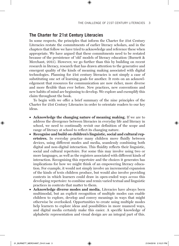#### **The Charter for 21st Century Literacies**

In some respects, the principles that inform the Charter for 21st Century Literacies restate the commitments of earlier literacy scholars, and in the chapters that follow we have tried to acknowledge and reference these when appropriate. We have argued that these commitments need to be restated because of the persistence of 'old' models of literacy education (Burnett & Merchant, 2015). However, we go further than this by building on recent research in literacy, research that has drawn attention to the generative and emergent quality of the kinds of meaning making associated with digital technologies. Planning for 21st century literacies is not simply a case of substituting one set of learning goals for another. It rests on an acknowledgement that resources for communication are now richer, more diverse and more flexible than ever before. New practices, new conventions and new habits of mind are beginning to develop. We explore and exemplify this claim throughout the book.

⊕

To begin with we offer a brief summary of the nine principles of the Charter for 21st Century Literacies in order to orientate readers to our key ideas.

- **Acknowledge the changing nature of meaning making.** If we are to address the divergence between literacies in everyday life and literacy in school, we need to continually revisit our definition of the scope and range of literacy at school to reflect its changing nature.
- **Recognise and build on children's linguistic, social and cultural repertoires.** In everyday practice many children move fluidly between devices, using different modes and media, seamlessly combining both digital and non-digital interaction. This fluidity reflects their linguistic, social and cultural repertoire. For some this may involve using two or more languages, as well as the registers associated with different kinds of interaction. Recognising this repertoire and the choices it generates has implications for how we might think of an empowering literacy education. For example, it would not simply involve an incremental expansion of the kinds of texts children produce, but would also involve providing contexts in which learners could draw in open-ended ways *across* this developing repertoire: to combine and remix varied textual and linguistic practices in contexts that matter to them.
- **Acknowledge diverse modes and media.** Literacies have always been multimodal, but an explicit recognition of multiple modes can enable children to explore, develop and convey meanings in ways that might otherwise be overlooked. Opportunities to create using multiple modes help learners to explore ideas and possibilities in more nuanced ways, and digital media certainly make this easier. A specific knowledge of alphabetic representation and visual design are an integral part of this.

♠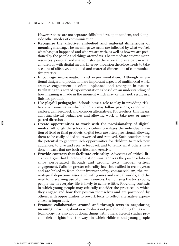However, these are not separate skills but develop in tandem, and alongside other modes of communication.

 $\textcircled{\scriptsize{*}}$ 

- **Recognise the affective, embodied and material dimensions of meaning making.** The meanings we make are inflected by what we feel, what has just happened and who we are with, as well as how we are positioned by the people and things around us. The immediate environment, resources, personal and shared histories therefore all play a part in what children do with digital media. Literacy provision therefore needs to take account of affective, embodied and material dimensions of communicative practice.
- **Encourage improvisation and experimentation.** Although intentional design and production are important aspects of multimodal work, creative engagement is often unplanned and emergent in nature. Facilitating this sort of experimentation is based on an understanding of how meaning is made in the moment which may, or may not, result in a finished product.
- **Use playful pedagogies.** Schools have a role to play in providing riskfree environments in which children may follow passions, experiment, explore, gain feedback and consider alternatives. For teachers, this means adopting playful pedagogies and allowing work to take new or unexpected directions.
- **Create opportunities to work with the provisionality of digital media.** Although the school curriculum privileges the individual creation of fixed or final products, digital texts are often provisional, allowing them to be easily added to, reworked and remixed. Such practices have the potential to generate rich opportunities for children to reach new audiences, to give and receive feedback and to remix what others have done in ways that are both critical and creative.
- **Provide contexts that facilitate criticality.** Advocates of critical literacies argue that literacy education must address the power relationships perpetuated through and around texts through critical engagement. Calls for greater criticality have intensified in recent years and are linked to fears about internet safety, commercialism, the stereotypical depictions associated with games and virtual worlds, and the need for discerning use of online resources. Demonising the texts young people use in everyday life is likely to achieve little. Providing contexts in which young people may critically consider the practices in which they engage and how they positon themselves and are positioned by others, with opportunities to rework texts to reflect alternative experiences, is important.
- **Promote collaboration around and through texts in negotiating meaning.** Learning about new media is not just about doing things with technology, it's also about doing things with others. Recent studies provide rich insights into the ways in which children and young people

01\_BURNETT\_MERCHANT\_CH-01.indd 4 21/04/2018 2:10:21 PM

⊕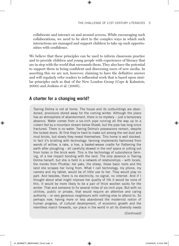collaborate and interact on and around screens. While encouraging such collaborations, we need to be alert to the complex ways in which such interactions are managed and support children to take up such opportunities with confidence.

⊕

We believe that these principles can be used to inform classroom practice and to provide children and young people with experiences of literacy that are in step with the world that surrounds them. They also have the potential to support them in being confident and discerning users of new media. In asserting this we are not, however, claiming to have the definitive answer and will regularly refer readers to influential work that is based upon similar principles such as that of the New London Group (Cope & Kalantzis, 2000) and Jenkins et al. (2006).

### **A charter for a changing world?**

Tsering Dolma is not at home. The house and its outbuildings are abandoned, provisions stored away for the coming winter. Although the place has an atmosphere of abandonment, there is no mystery – just a temporary absence. Water comes from a six-inch pipe running all the way up to a cistern fed by a mountain stream below Shadé, but the pipe has long since fractured. There is no water. Tsering Dolma's possessions remain, despite the locked doors. At first they're hard to make out among the red dust and mud bricks, but slowly they reveal themselves. This home is well stocked. In fact it's bristling with technology: farming implements fashioned from wands of willow, a rake, a hoe, a basket-weave cradle for flattening the earth after ploughing – all carefully stowed in the roof space or jutting out from holes in the brick work. This is the technology of subsistence farming, of a low impact bonding with the land. The only absence is Tsering Dolma herself, but she is held in a network of relationships – with locals, the monks from Phuktar, her yaks, the sheep, these basic tools and the land she scrapes her living from. What I call technology, my phone, my camera and my tablet, would be of little use to her. They would play no part. And besides, there is no electricity, no signal, no internet. And if I thought about what might improve her quality of life it would be none of this. It would be more likely to be a pair of thick woollen socks for the winter. That and someone to fix several miles of six-inch pipe. But with no utilities, public or private, that would require an attentive and caring authority – or very generous neighbours with nothing else to attend to. So perhaps now, having more or less abandoned the modernist notion of human progress, of cultural development, of economic growth and the relentless march forwards, our place in the world in all its diversity needs

*(Continued)*

01\_BURNETT\_MERCHANT\_CH-01.indd 5 21/04/2018 2:10:21 PM

♠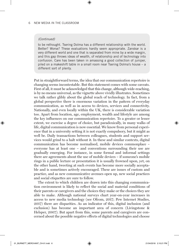#### *(Continued)*

to be rethought. Tsering Dolma has a different relationship with the world. Better? Worse? These evaluations hardly seem appropriate. Zanskar is a very different world and one that is separated from mine by a wide margin, and this gap throws ideas of wealth, of relationship and of technology into confusion. Care has been taken in amassing a good collection of juniper, piled on a makeshift table in a small room near Tsering Dolma's house – a different sort of plenty.

⊕

Put in straightforward terms, the idea that our communication repertoire is changing seems incontestable. But this statement comes with some caveats. First of all, it must be acknowledged that this change, although wide-reaching, is by no means universal, as the vignette above vividly illustrates. Sometimes we talk rather glibly about the global reach of technology. In fact, from a global perspective there is enormous variation in the pattern of everyday communication, as well as in access to devices, services and connectivity. Nationally, and even locally within the UK, there is considerable variation too. Apart from location, age, employment, wealth and lifestyle are among the key influences on our communication repertoire. To a greater or lesser extent, we exercise a degree of choice, but paradoxically, in many walks of life, digital communication is now essential. We know from personal experience that in a university setting it is not exactly compulsory, but it might as well be. Daily transactions between colleagues, students and support services would grind to a halt without it. In these and similar contexts, digital communication has become normalised, mobile devices commonplace – everyone has at least one – and conventions surrounding their use are gradually emerging. For instance, in some formal and informal settings there are agreements about the use of mobile devices – if someone's mobile rings in a public lecture or presentation it is usually frowned upon, yet, on the other hand, tweeting at such events has become more socially acceptable and is sometimes actively encouraged. These are issues of custom and practice, and as new communicative avenues open up, new social practices and social etiquettes are sure to follow.

The extent to which children are drawn into this changing communication environment is likely to reflect the social and material conditions of their parents or caregivers and the choices they make or the choices they are able to make. Although national surveys chart year-on-year increases in access to new media technology (see Ofcom, 2017; Pew Internet Studies, 2017) there are disparities. As an indicator of this, digital inclusion (and exclusion) has become an important area of concern (Livingstone & Helsper, 2007). But apart from this, some parents and caregivers are concerned about the possible negative effects of digital technologies and choose

01\_BURNETT\_MERCHANT\_CH-01.indd 6 21/04/2018 2:10:21 PM

♠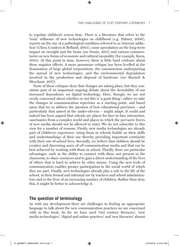to regulate children's screen time. There is a literature that refers to the 'toxic' influence of new technologies on childhood (e.g. Palmer, 2006), reports on the rise of a pathological condition referred to as 'internet addiction' (Chou, Condron & Belland, 2005), some speculation on the long-term impact on eyesight and the brain (see Swain, 2011) and various commentaries on new forms of economic and cultural inequality (for example, Keen, 2015). At this point in time, however, there is little hard evidence about these negative effects. A more persuasive critique has been levelled at the domination of large global corporations, the consumerism underpinning the spread of new technologies, and the environmental degradation involved in the production and disposal of hardware (see Burnett & Merchant, 2017).

⊕

None of these critiques deny that changes are taking place, but they constitute part of an important ongoing debate about the desirability of our increased dependence on digital technology. Here, though, we are not overly concerned about whether or not this is 'a good thing'; rather we take the changes in communication repertoire as a starting point, and based upon that try to address the question of how educational provision – and particularly that aimed at the under-elevens – might adapt. It could and indeed has been argued that schools are places for face-to-face interaction, sanctuaries from a complex world and places in which the pervasive forces of new media should not be allowed to enter. We do not subscribe to this view for a number of reasons. Firstly, new media technologies are already part of children's experience: using them in schools builds on their skills and understandings of their use thereby providing important continuity with their out-of-school lives. Secondly, we believe that children should be creative and discerning users of *all* communication media and that can be best achieved by working with them in school. Thirdly, there are particular advantages, such as the ability to connect with those not present in the classroom, to share resources and to gain a direct understanding of the lives of others that is hard to achieve by other means. Using the new tools of communication enables greater participation in the social world of which they are part. Finally, new technologies already play a role in the life of the school, in their formal and informal use by teachers and school administrators and in the lives of an increasing number of children. Rather than deny this, it might be better to acknowledge it.

#### **The question of terminology**

As with any development there are challenges in finding an appropriate language to talk about the new communication practices we are concerned with in this book. So far we have used '21st century literacies', 'new media technologies', 'digital and online practices' and 'new literacies' almost

♠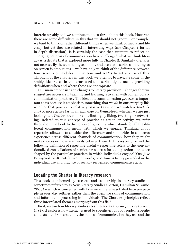interchangeably and we continue to do so throughout this book. However, there are some difficulties in this that we should not ignore. For example, we tend to think of rather different things when we think of media and literacy, but yet they are related in interesting ways (see Chapter 4 for an in-depth discussion). It is certainly the case that attempts to reflect on emerging patterns of communication have challenged what we think literacy *is*, a debate that is explored more fully in Chapter 2. Similarly, digital is not necessarily the same thing as online, and even to describe something as on-screen is ambiguous – we have only to think of the difference between touchscreens on mobiles, TV screens and ATMs to get a sense of this. Throughout the chapters in this book we attempt to navigate some of the ambiguities raised in the terms used to describe digital media, providing definitions when and where these are appropriate.

 $\textcircled{\scriptsize{*}}$ 

Our main emphasis is on changes to literacy provision – changes that we suggest are necessary if teaching and learning is to align with contemporary communication practices. The idea of a communication *practice* is important to us because it emphasises something that we *do* in our everyday life, whether that practice is relatively passive (as when we watch a *YouTube* clip) or more active (as in an exchange on *WhatsApp*), whether we are just looking at a *Twitter* stream or contributing by liking, tweeting or retweeting. Related to this concept of practice as action or activity, we refer throughout the book to the notion of *repertoire* which stands for all the different communication media with which we engage. Thinking about repertoire allows us to consider the differences and similarities in children's experience across different channels of communication, how they might make choices or move seamlessly between them. In this respect, we find the following definition of repertoire useful – repertoire refers to the 'conventionalized constellations of semiotic resources for taking action – that are shaped by the particular practices in which individuals engage' (Otsuji & Pennycook, 2010: 248). In other words, repertoire is firmly grounded in the individual use and practice of socially recognised communicative acts.

#### **Locating the Charter in literacy research**

This book is informed by research and scholarship in literacy studies – sometimes referred to as New Literacy Studies (Barton, Hamilton & Ivanic, 2000) – which is concerned with how meaning is negotiated between people in everyday settings rather than the cognitive skills of communication and information processing in individuals. The Charter's principles reflect three interrelated themes emerging from this field.

First, research in literacy studies sees literacy as a *social practice* (Street, 1984). It explores how literacy is used by specific groups of people in specific contexts – their interactions, the modes of communication they use and the

01\_BURNETT\_MERCHANT\_CH-01.indd 8 21/04/2018 2:10:21 PM

♠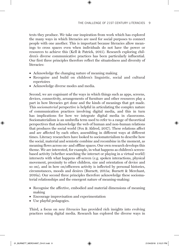#### THE CHALLENGE OF 21ST CENTURY LITERACIES 9

texts they produce. We take our inspiration from work which has explored the many ways in which literacies are used for social purposes to connect people with one another. This is important because literacies allow meanings to cross spaces even when individuals do not have the power or resources to achieve this (Kell & Patrick, 2015). Research exploring children's diverse communicative practices has been particularly influential. Our first three principles therefore reflect the situatedness and diversity of literacies:

 $\textcircled{\scriptsize{*}}$ 

- Acknowledge the changing nature of meaning making
- Recognise and build on children's linguistic, social and cultural repertoires
- Acknowledge diverse modes and media.

Second, we are cognisant of the ways in which things such as apps, screens, devices, connectivity, arrangements of furniture and other resources play a part in how literacies get done and the kinds of meanings that get made. This *sociomaterial* perspective is helpful in articulating the complex nature of communication practices involving digital media, and this in turn has implications for how we integrate digital media in classrooms. Sociomaterialism is an umbrella term used to refer to a range of theoretical perspectives that acknowledge the web of human and non-human relations that produces the social world (Fox & Aldred, 2017). These relations affect and are affected by each other, assembling in different ways at different times. Literacy researchers have looked to sociomaterialism to describe how the social, material and semiotic combine and recombine in the moment, as meaning flows across on- and offline spaces. Our own research develops this theme. We are interested, for example, in what happens as children's screenbased activity (whether searching the internet or playing in a virtual world) intersects with what happens off-screen (e.g. spoken interactions, physical movement, proximity to other children, size and orientation of device and so on), and in how on/offscreen activity is inflected by personal histories, circumstances, moods and desires (Burnett, 2015a; Burnett & Merchant, 2016a). Our second three principles therefore acknowledge these sociomaterial relationships and the emergent nature of meaning-making:

- Recognise the affective, embodied and material dimensions of meaning making
- Encourage improvisation and experimentation
- Use playful pedagogies.

Third, a focus on *new literacies* has provided rich insights into evolving practices using digital media. Research has explored the diverse ways in

01\_BURNETT\_MERCHANT\_CH-01.indd 9 21/04/2018 2:10:21 PM

♠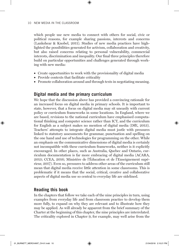which people use new media to connect with others for social, civic or political reasons, for example sharing passions, interests and concerns (Lankshear & Knobel, 2011). Studies of new media practices have highlighted the possibilities generated for activism, collaboration and creativity, but also raised concerns relating to personal vulnerability, commercial interests, discrimination and inequality. Our final three principles therefore build on particular opportunities and challenges generated through working with new media:

⊕

- Create opportunities to work with the provisionality of digital media
- Provide contexts that facilitate criticality
- Promote collaboration around and through texts in negotiating meaning.

### **Digital media and the primary curriculum**

We hope that the discussion above has provided a convincing rationale for an increased focus on digital media in primary schools. It is important to state, however, that a focus on digital media may sit uneasily with current policy or curriculum frameworks in some locations. In England, where we are based, revisions to the national curriculum have emphasised computational thinking and computer science rather than ICT, and the curriculum for English as a subject makes no mention of digital media (DfE, 2013). Teachers' attempts to integrate digital media must jostle with pressures linked to statutory assessments for grammar, punctuation and spelling on the one hand and use of technologies for programming on the other. While an emphasis on the communicative dimensions of digital media is certainly not incompatible with these curriculum frameworks, neither is it explicitly encouraged. In other places, such as Australia, Quebec and Ontario, curriculum documentation is far more embracing of digital media (ACARA, 2013; CCEA, 2016; Ministère de l'Éducation et de l'Enseignement supérieur, 2017). Even so, pressures to address other areas of the curriculum still mean that digital media receive little attention in some classrooms. This is problematic if it means that the social, critical, creative and collaborative aspects of digital media use so central to everyday life are sidelined.

#### **Reading this book**

In the chapters that follow we take each of the nine principles in turn, using examples from everyday life and from classroom practice to develop them more fully, to expand on why they are relevant and to illustrate how they may be applied. As will already be apparent from the brief summary of the Charter at the beginning of this chapter, the nine principles are interrelated. The criticality explored in Chapter 9, for example, may well arise from the

01\_BURNETT\_MERCHANT\_CH-01.indd 10 <br>
21/04/2018 2:10:21 PM

♠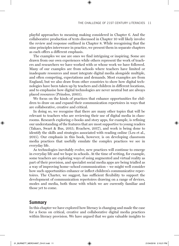playful approaches to meaning making considered in Chapter 6. And the collaborative production of texts discussed in Chapter 10 will likely involve the review and response outlined in Chapter 8. While recognising that the nine principles interweave in practice, we present them in separate chapters as each offers a different emphasis.

⊕

The examples we use are ones we find intriguing or inspiring. Some are drawn from our own experiences while others represent the work of teachers and researchers we have worked with or whose work we have followed. Many of our examples are from schools where teachers have limited or inadequate resources and must integrate digital media alongside multiple, and often competing, expectations and demands. Most examples are from England, but we also draw from other countries to show how digital technologies have been taken up by teachers and children in different locations, and to emphasise how digital technologies are never neutral but are always placed resources (Prinsloo, 2005).

We focus on the kinds of practices that enhance opportunities for children to draw on and expand their communication repertoires in ways that are collaborative, creative and critical.

In doing so, we recognise that there are many other topics that will be relevant to teachers who are reviewing their use of digital media in classrooms. Research exploring e-books and story apps, for example, is refining our understanding of the features that are most supportive to young readers (Takacs, Swart & Bus, 2015; Rvachew, 2017), and work is being done to identify the skills and strategies associated with reading online (Leu et al., 2015). Our emphasis in this book, however, is on developing classroom media practices that usefully emulate the complex practices we see in everyday life.

As technologies inevitably evolve, new practices will continue to emerge in everyday life and we hope in schools. At the time of writing, for example, some teachers are exploring ways of using augmented and virtual reality as part of their provision, and specialist social media apps are being trialled as a way of improving home–school communication – we might well consider how such opportunities enhance or inflect children's communicative repertoires. The Charter, we suggest, has sufficient flexibility to support the development of communication repertoires drawing on a range of devices, modes and media, both those with which we are currently familiar and those yet to come.

#### **Summary**

♠

In this chapter we have explored how literacy is changing and made the case for a focus on critical, creative and collaborative digital media practices within literacy provision. We have argued that we gain valuable insights to